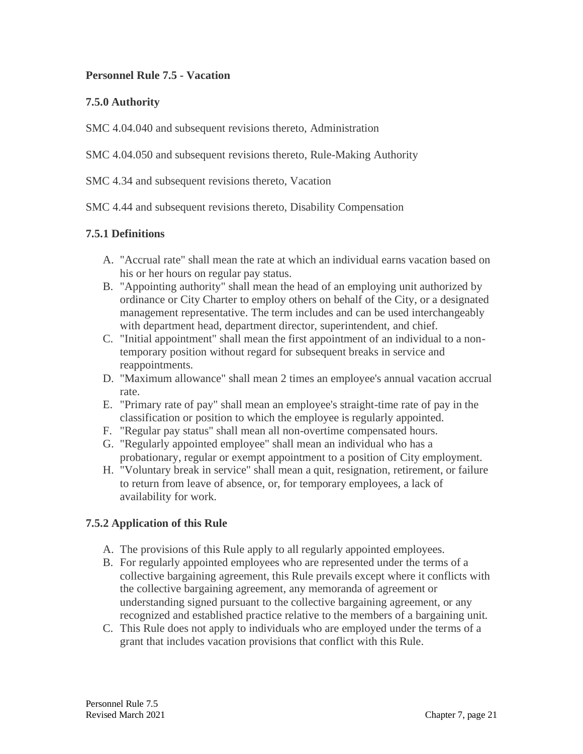### **Personnel Rule 7.5 - Vacation**

## **7.5.0 Authority**

SMC 4.04.040 and subsequent revisions thereto, Administration

SMC 4.04.050 and subsequent revisions thereto, Rule-Making Authority

SMC 4.34 and subsequent revisions thereto, Vacation

SMC 4.44 and subsequent revisions thereto, Disability Compensation

## **7.5.1 Definitions**

- A. "Accrual rate" shall mean the rate at which an individual earns vacation based on his or her hours on regular pay status.
- B. "Appointing authority" shall mean the head of an employing unit authorized by ordinance or City Charter to employ others on behalf of the City, or a designated management representative. The term includes and can be used interchangeably with department head, department director, superintendent, and chief.
- C. "Initial appointment" shall mean the first appointment of an individual to a nontemporary position without regard for subsequent breaks in service and reappointments.
- D. "Maximum allowance" shall mean 2 times an employee's annual vacation accrual rate.
- E. "Primary rate of pay" shall mean an employee's straight-time rate of pay in the classification or position to which the employee is regularly appointed.
- F. "Regular pay status" shall mean all non-overtime compensated hours.
- G. "Regularly appointed employee" shall mean an individual who has a probationary, regular or exempt appointment to a position of City employment.
- H. "Voluntary break in service" shall mean a quit, resignation, retirement, or failure to return from leave of absence, or, for temporary employees, a lack of availability for work.

## **7.5.2 Application of this Rule**

- A. The provisions of this Rule apply to all regularly appointed employees.
- B. For regularly appointed employees who are represented under the terms of a collective bargaining agreement, this Rule prevails except where it conflicts with the collective bargaining agreement, any memoranda of agreement or understanding signed pursuant to the collective bargaining agreement, or any recognized and established practice relative to the members of a bargaining unit.
- C. This Rule does not apply to individuals who are employed under the terms of a grant that includes vacation provisions that conflict with this Rule.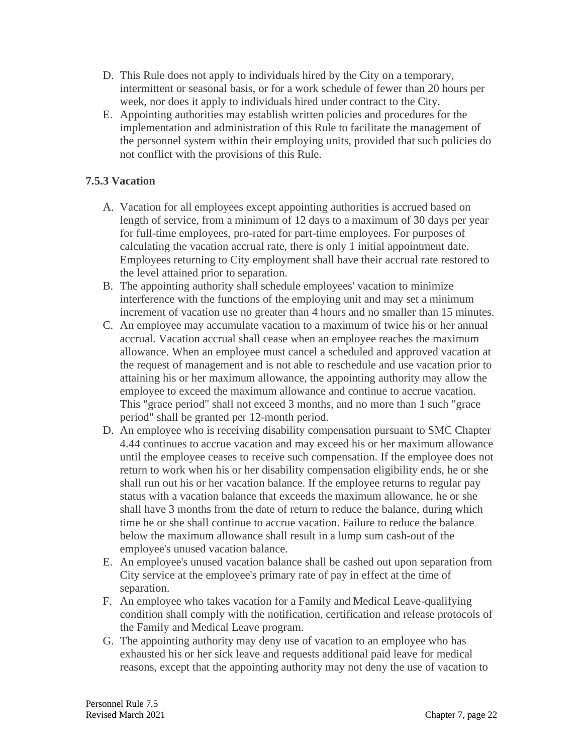- D. This Rule does not apply to individuals hired by the City on a temporary, intermittent or seasonal basis, or for a work schedule of fewer than 20 hours per week, nor does it apply to individuals hired under contract to the City.
- E. Appointing authorities may establish written policies and procedures for the implementation and administration of this Rule to facilitate the management of the personnel system within their employing units, provided that such policies do not conflict with the provisions of this Rule.

# **7.5.3 Vacation**

- A. Vacation for all employees except appointing authorities is accrued based on length of service, from a minimum of 12 days to a maximum of 30 days per year for full-time employees, pro-rated for part-time employees. For purposes of calculating the vacation accrual rate, there is only 1 initial appointment date. Employees returning to City employment shall have their accrual rate restored to the level attained prior to separation.
- B. The appointing authority shall schedule employees' vacation to minimize interference with the functions of the employing unit and may set a minimum increment of vacation use no greater than 4 hours and no smaller than 15 minutes.
- C. An employee may accumulate vacation to a maximum of twice his or her annual accrual. Vacation accrual shall cease when an employee reaches the maximum allowance. When an employee must cancel a scheduled and approved vacation at the request of management and is not able to reschedule and use vacation prior to attaining his or her maximum allowance, the appointing authority may allow the employee to exceed the maximum allowance and continue to accrue vacation. This "grace period" shall not exceed 3 months, and no more than 1 such "grace period" shall be granted per 12-month period.
- D. An employee who is receiving disability compensation pursuant to SMC Chapter 4.44 continues to accrue vacation and may exceed his or her maximum allowance until the employee ceases to receive such compensation. If the employee does not return to work when his or her disability compensation eligibility ends, he or she shall run out his or her vacation balance. If the employee returns to regular pay status with a vacation balance that exceeds the maximum allowance, he or she shall have 3 months from the date of return to reduce the balance, during which time he or she shall continue to accrue vacation. Failure to reduce the balance below the maximum allowance shall result in a lump sum cash-out of the employee's unused vacation balance.
- E. An employee's unused vacation balance shall be cashed out upon separation from City service at the employee's primary rate of pay in effect at the time of separation.
- F. An employee who takes vacation for a Family and Medical Leave-qualifying condition shall comply with the notification, certification and release protocols of the Family and Medical Leave program.
- G. The appointing authority may deny use of vacation to an employee who has exhausted his or her sick leave and requests additional paid leave for medical reasons, except that the appointing authority may not deny the use of vacation to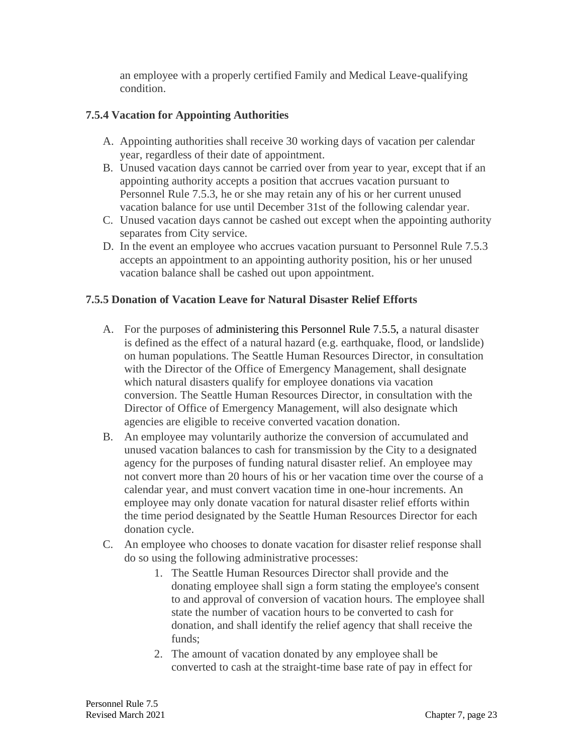an employee with a properly certified Family and Medical Leave-qualifying condition.

## **7.5.4 Vacation for Appointing Authorities**

- A. Appointing authorities shall receive 30 working days of vacation per calendar year, regardless of their date of appointment.
- B. Unused vacation days cannot be carried over from year to year, except that if an appointing authority accepts a position that accrues vacation pursuant to Personnel Rule 7.5.3, he or she may retain any of his or her current unused vacation balance for use until December 31st of the following calendar year.
- C. Unused vacation days cannot be cashed out except when the appointing authority separates from City service.
- D. In the event an employee who accrues vacation pursuant to Personnel Rule 7.5.3 accepts an appointment to an appointing authority position, his or her unused vacation balance shall be cashed out upon appointment.

### **7.5.5 Donation of Vacation Leave for Natural Disaster Relief Efforts**

- A. For the purposes of administering this Personnel Rule 7.5.5, a natural disaster is defined as the effect of a natural hazard (e.g. earthquake, flood, or landslide) on human populations. The Seattle Human Resources Director, in consultation with the Director of the Office of Emergency Management, shall designate which natural disasters qualify for employee donations via vacation conversion. The Seattle Human Resources Director, in consultation with the Director of Office of Emergency Management, will also designate which agencies are eligible to receive converted vacation donation.
- B. An employee may voluntarily authorize the conversion of accumulated and unused vacation balances to cash for transmission by the City to a designated agency for the purposes of funding natural disaster relief. An employee may not convert more than 20 hours of his or her vacation time over the course of a calendar year, and must convert vacation time in one-hour increments. An employee may only donate vacation for natural disaster relief efforts within the time period designated by the Seattle Human Resources Director for each donation cycle.
- C. An employee who chooses to donate vacation for disaster relief response shall do so using the following administrative processes:
	- 1. The Seattle Human Resources Director shall provide and the donating employee shall sign a form stating the employee's consent to and approval of conversion of vacation hours. The employee shall state the number of vacation hours to be converted to cash for donation, and shall identify the relief agency that shall receive the funds;
	- 2. The amount of vacation donated by any employee shall be converted to cash at the straight-time base rate of pay in effect for